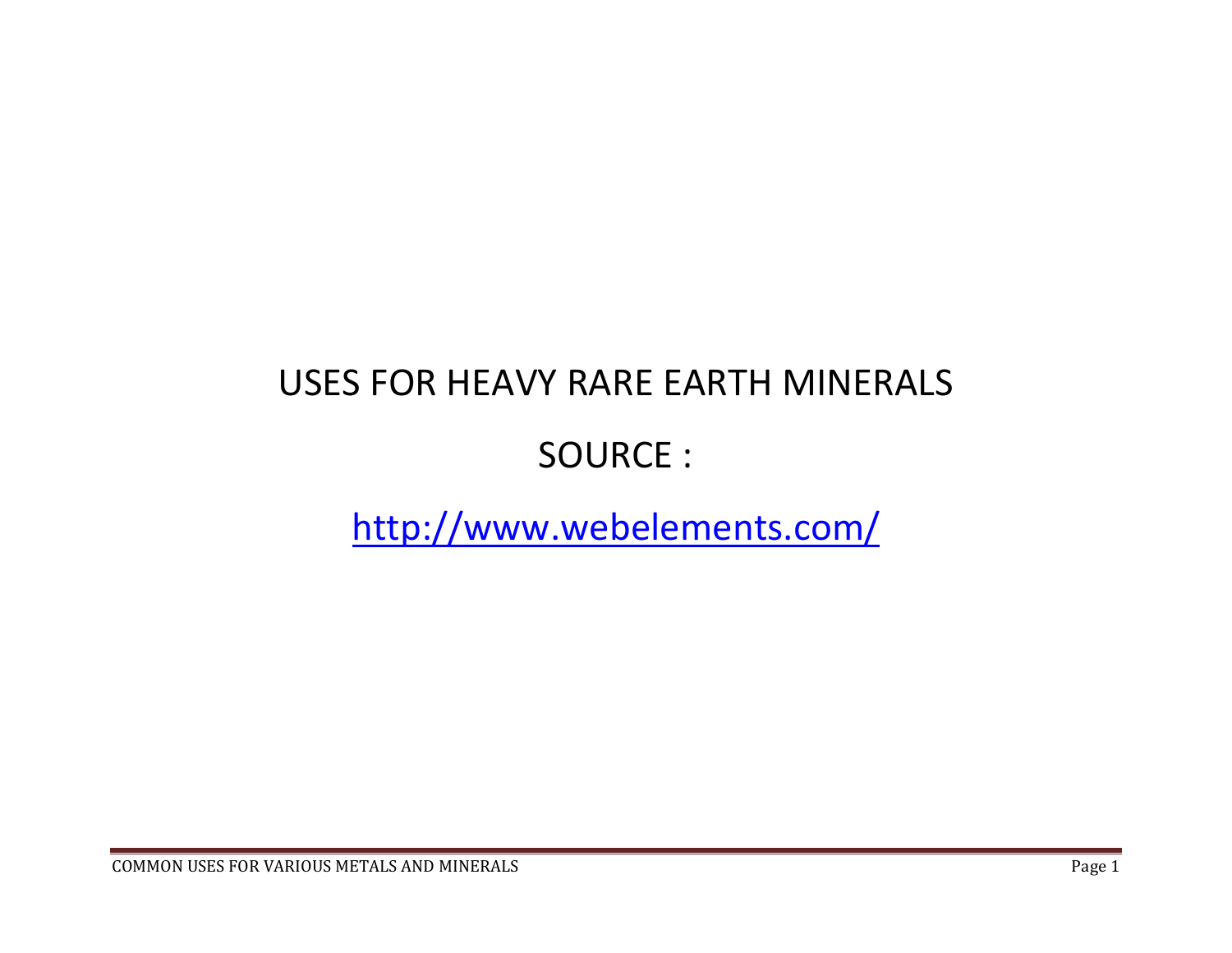## USES FOR HEAVY RARE EARTH MINERALS

## SOURCE :

## http://www.webelements.com/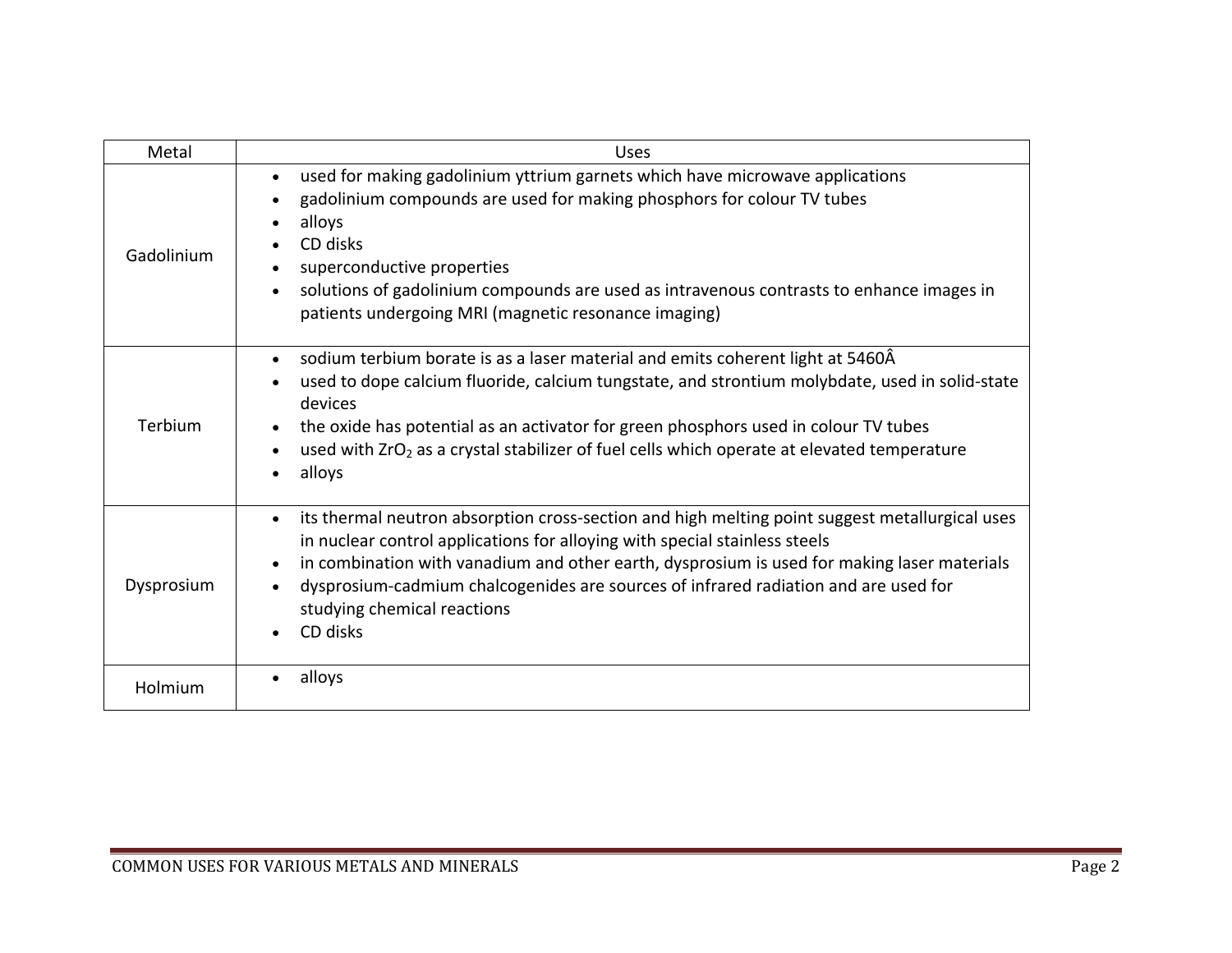| Metal      | Uses                                                                                                                                                                                                                                                                                                                                                                                                                       |
|------------|----------------------------------------------------------------------------------------------------------------------------------------------------------------------------------------------------------------------------------------------------------------------------------------------------------------------------------------------------------------------------------------------------------------------------|
| Gadolinium | used for making gadolinium yttrium garnets which have microwave applications<br>gadolinium compounds are used for making phosphors for colour TV tubes<br>alloys<br>CD disks<br>superconductive properties<br>solutions of gadolinium compounds are used as intravenous contrasts to enhance images in<br>patients undergoing MRI (magnetic resonance imaging)                                                             |
| Terbium    | sodium terbium borate is as a laser material and emits coherent light at 5460Â<br>used to dope calcium fluoride, calcium tungstate, and strontium molybdate, used in solid-state<br>devices<br>the oxide has potential as an activator for green phosphors used in colour TV tubes<br>used with ZrO <sub>2</sub> as a crystal stabilizer of fuel cells which operate at elevated temperature<br>alloys                     |
| Dysprosium | its thermal neutron absorption cross-section and high melting point suggest metallurgical uses<br>$\bullet$<br>in nuclear control applications for alloying with special stainless steels<br>in combination with vanadium and other earth, dysprosium is used for making laser materials<br>dysprosium-cadmium chalcogenides are sources of infrared radiation and are used for<br>studying chemical reactions<br>CD disks |
| Holmium    | alloys                                                                                                                                                                                                                                                                                                                                                                                                                     |